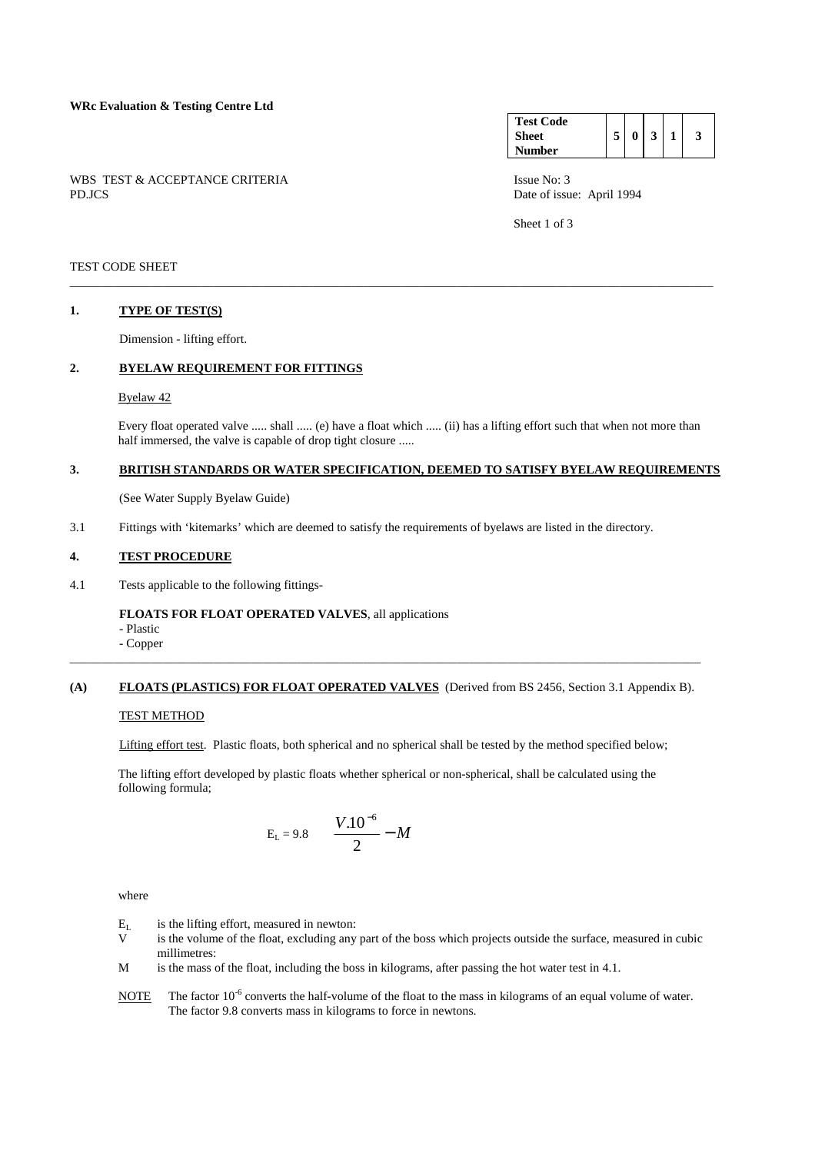|        | WBS TEST & ACCEPTANCE CRITERIA |  |  |  |  |
|--------|--------------------------------|--|--|--|--|
| PD.JCS |                                |  |  |  |  |

| <b>Test Code</b> |  |   |  |  |
|------------------|--|---|--|--|
| <b>Sheet</b>     |  | 0 |  |  |
| Number           |  |   |  |  |

Issue No: 3 Date of issue: April 1994

Sheet 1 of 3

# TEST CODE SHEET

### **1. TYPE OF TEST(S)**

Dimension - lifting effort.

### **2. BYELAW REQUIREMENT FOR FITTINGS**

#### Byelaw 42

 Every float operated valve ..... shall ..... (e) have a float which ..... (ii) has a lifting effort such that when not more than half immersed, the valve is capable of drop tight closure .....

#### **3. BRITISH STANDARDS OR WATER SPECIFICATION, DEEMED TO SATISFY BYELAW REQUIREMENTS**

\_\_\_\_\_\_\_\_\_\_\_\_\_\_\_\_\_\_\_\_\_\_\_\_\_\_\_\_\_\_\_\_\_\_\_\_\_\_\_\_\_\_\_\_\_\_\_\_\_\_\_\_\_\_\_\_\_\_\_\_\_\_\_\_\_\_\_\_\_\_\_\_\_\_\_\_\_\_\_\_\_\_\_\_\_\_\_\_\_\_\_\_\_\_\_\_\_\_\_\_\_\_\_

(See Water Supply Byelaw Guide)

3.1 Fittings with 'kitemarks' which are deemed to satisfy the requirements of byelaws are listed in the directory.

### **4. TEST PROCEDURE**

4.1 Tests applicable to the following fittings-

#### **FLOATS FOR FLOAT OPERATED VALVES**, all applications

- Plastic
- Copper

### **(A) FLOATS (PLASTICS) FOR FLOAT OPERATED VALVES** (Derived from BS 2456, Section 3.1 Appendix B).

\_\_\_\_\_\_\_\_\_\_\_\_\_\_\_\_\_\_\_\_\_\_\_\_\_\_\_\_\_\_\_\_\_\_\_\_\_\_\_\_\_\_\_\_\_\_\_\_\_\_\_\_\_\_\_\_\_\_\_\_\_\_\_\_\_\_\_\_\_\_\_\_\_\_\_\_\_\_\_\_\_\_\_\_\_\_\_\_\_\_\_\_\_\_\_\_\_\_\_\_\_

### TEST METHOD

Lifting effort test. Plastic floats, both spherical and no spherical shall be tested by the method specified below;

 The lifting effort developed by plastic floats whether spherical or non-spherical, shall be calculated using the following formula;

$$
E_{L} = 9.8 \quad \left(\frac{V.10^{-6}}{2} - M\right)
$$

where

- $E_L$  is the lifting effort, measured in newton:<br>V is the volume of the float excluding any
- is the volume of the float, excluding any part of the boss which projects outside the surface, measured in cubic millimetres:
- M is the mass of the float, including the boss in kilograms, after passing the hot water test in 4.1.
- NOTE The factor 10<sup>-6</sup> converts the half-volume of the float to the mass in kilograms of an equal volume of water. The factor 9.8 converts mass in kilograms to force in newtons.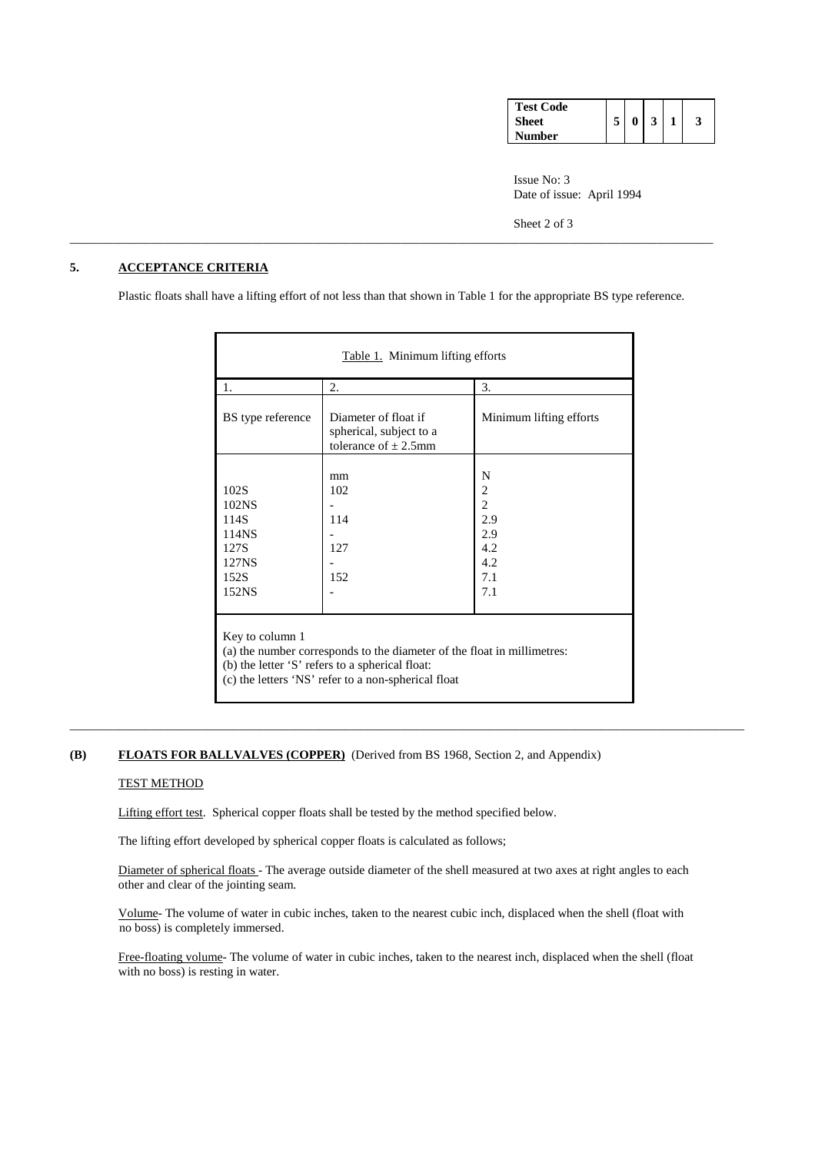| <b>Test Code</b> |   |  |  |
|------------------|---|--|--|
| <b>Sheet</b>     | 5 |  |  |
| <b>Number</b>    |   |  |  |

 Issue No: 3 Date of issue: April 1994

Sheet 2 of 3

# **5. ACCEPTANCE CRITERIA**

Plastic floats shall have a lifting effort of not less than that shown in Table 1 for the appropriate BS type reference.

\_\_\_\_\_\_\_\_\_\_\_\_\_\_\_\_\_\_\_\_\_\_\_\_\_\_\_\_\_\_\_\_\_\_\_\_\_\_\_\_\_\_\_\_\_\_\_\_\_\_\_\_\_\_\_\_\_\_\_\_\_\_\_\_\_\_\_\_\_\_\_\_\_\_\_\_\_\_\_\_\_\_\_\_\_\_\_\_\_\_\_\_\_\_\_\_\_\_\_\_\_\_\_

| Table 1. Minimum lifting efforts                                                                                                                                                                     |                                                                             |                                                                    |  |  |  |  |  |  |  |  |
|------------------------------------------------------------------------------------------------------------------------------------------------------------------------------------------------------|-----------------------------------------------------------------------------|--------------------------------------------------------------------|--|--|--|--|--|--|--|--|
| 1.                                                                                                                                                                                                   | 2.                                                                          | 3.                                                                 |  |  |  |  |  |  |  |  |
| BS type reference                                                                                                                                                                                    | Diameter of float if<br>spherical, subject to a<br>tolerance of $\pm$ 2.5mm | Minimum lifting efforts                                            |  |  |  |  |  |  |  |  |
| 102S<br>102NS<br>114S<br>114NS<br>127S<br>127NS<br>152S<br>152NS                                                                                                                                     | mm<br>102<br>114<br>127<br>152                                              | N<br>2<br>$\overline{2}$<br>2.9<br>2.9<br>4.2<br>4.2<br>7.1<br>7.1 |  |  |  |  |  |  |  |  |
| Key to column 1<br>(a) the number corresponds to the diameter of the float in millimetres:<br>(b) the letter 'S' refers to a spherical float:<br>(c) the letters 'NS' refer to a non-spherical float |                                                                             |                                                                    |  |  |  |  |  |  |  |  |

# **(B) FLOATS FOR BALLVALVES (COPPER)** (Derived from BS 1968, Section 2, and Appendix)

#### TEST METHOD

Lifting effort test. Spherical copper floats shall be tested by the method specified below.

The lifting effort developed by spherical copper floats is calculated as follows;

Diameter of spherical floats - The average outside diameter of the shell measured at two axes at right angles to each other and clear of the jointing seam.

\_\_\_\_\_\_\_\_\_\_\_\_\_\_\_\_\_\_\_\_\_\_\_\_\_\_\_\_\_\_\_\_\_\_\_\_\_\_\_\_\_\_\_\_\_\_\_\_\_\_\_\_\_\_\_\_\_\_\_\_\_\_\_\_\_\_\_\_\_\_\_\_\_\_\_\_\_\_\_\_\_\_\_\_\_\_\_\_\_\_\_\_\_\_\_\_\_\_\_\_\_\_\_\_\_\_\_\_

 Volume- The volume of water in cubic inches, taken to the nearest cubic inch, displaced when the shell (float with no boss) is completely immersed.

 Free-floating volume- The volume of water in cubic inches, taken to the nearest inch, displaced when the shell (float with no boss) is resting in water.